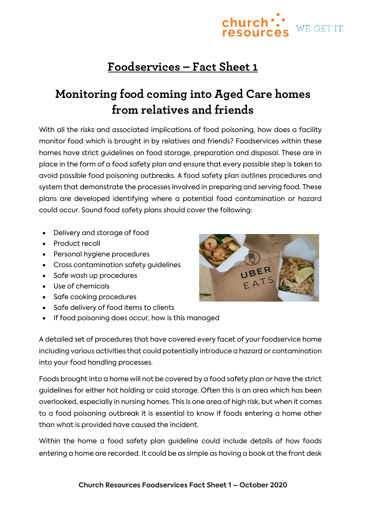## **Foodservices – Fact Sheet 1**

## **Monitoring food coming into Aged Care homes from relatives and friends**

With all the risks and associated implications of food poisoning, how does a facility monitor food which is brought in by relatives and friends? Foodservices within these homes have strict guidelines on food storage, preparation and disposal. These are in place in the form of a food safety plan and ensure that every possible step is taken to avoid possible food poisoning outbreaks. A food safety plan outlines procedures and system that demonstrate the processes involved in preparing and serving food. These plans are developed identifying where a potential food contamination or hazard could occur. Sound food safety plans should cover the following:

- Delivery and storage of food
- Product recall
- Personal hygiene procedures
- Cross contamination safety guidelines
- Safe wash up procedures
- Use of chemicals
- Safe cooking procedures
- Safe delivery of food items to clients
- If food poisoning does occur, how is this managed

A detailed set of procedures that have covered every facet of your foodservice home including various activities that could potentially introduce a hazard or contamination into your food handling processes.

Foods brought into a home will not be covered by a food safety plan or have the strict guidelines for either hot holding or cold storage. Often this is an area which has been overlooked, especially in nursing homes. This is one area of high risk, but when it comes to a food poisoning outbreak it is essential to know if foods entering a home other than what is provided have caused the incident.

Within the home a food safety plan guideline could include details of how foods entering a home are recorded. It could be as simple as having a book at the front desk